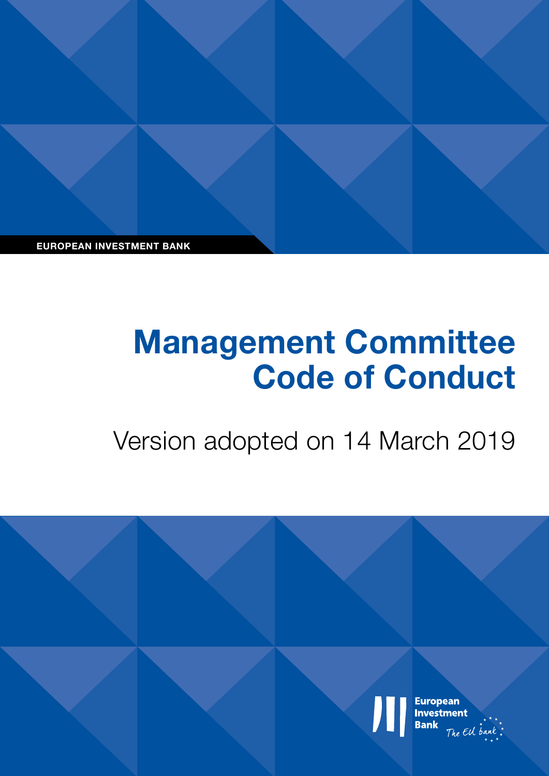**EUROPEAN INVESTMENT BANK**

# **Management Committee Code of Conduct**

Version adopted on 14 March 2019

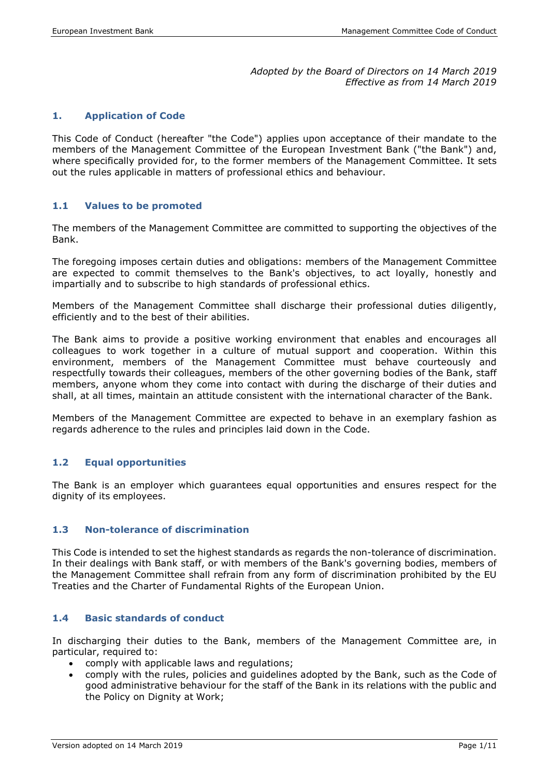#### *Adopted by the Board of Directors on 14 March 2019 Effective as from 14 March 2019*

#### **1. Application of Code**

This Code of Conduct (hereafter "the Code") applies upon acceptance of their mandate to the members of the Management Committee of the European Investment Bank ("the Bank") and, where specifically provided for, to the former members of the Management Committee. It sets out the rules applicable in matters of professional ethics and behaviour.

#### **1.1 Values to be promoted**

The members of the Management Committee are committed to supporting the objectives of the Bank.

The foregoing imposes certain duties and obligations: members of the Management Committee are expected to commit themselves to the Bank's objectives, to act loyally, honestly and impartially and to subscribe to high standards of professional ethics.

Members of the Management Committee shall discharge their professional duties diligently, efficiently and to the best of their abilities.

The Bank aims to provide a positive working environment that enables and encourages all colleagues to work together in a culture of mutual support and cooperation. Within this environment, members of the Management Committee must behave courteously and respectfully towards their colleagues, members of the other governing bodies of the Bank, staff members, anyone whom they come into contact with during the discharge of their duties and shall, at all times, maintain an attitude consistent with the international character of the Bank.

Members of the Management Committee are expected to behave in an exemplary fashion as regards adherence to the rules and principles laid down in the Code.

# **1.2 Equal opportunities**

The Bank is an employer which guarantees equal opportunities and ensures respect for the dignity of its employees.

#### **1.3 Non-tolerance of discrimination**

This Code is intended to set the highest standards as regards the non-tolerance of discrimination. In their dealings with Bank staff, or with members of the Bank's governing bodies, members of the Management Committee shall refrain from any form of discrimination prohibited by the EU Treaties and the Charter of Fundamental Rights of the European Union.

#### **1.4 Basic standards of conduct**

In discharging their duties to the Bank, members of the Management Committee are, in particular, required to:

- comply with applicable laws and regulations;
- comply with the rules, policies and guidelines adopted by the Bank, such as the Code of good administrative behaviour for the staff of the Bank in its relations with the public and the Policy on Dignity at Work;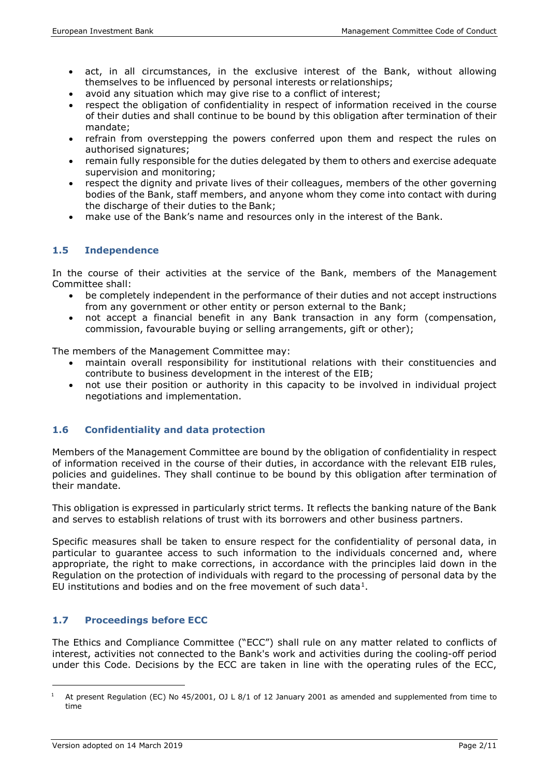- act, in all circumstances, in the exclusive interest of the Bank, without allowing themselves to be influenced by personal interests or relationships;
- avoid any situation which may give rise to a conflict of interest;
- respect the obligation of confidentiality in respect of information received in the course of their duties and shall continue to be bound by this obligation after termination of their mandate;
- refrain from overstepping the powers conferred upon them and respect the rules on authorised signatures;
- remain fully responsible for the duties delegated by them to others and exercise adequate supervision and monitoring;
- respect the dignity and private lives of their colleagues, members of the other governing bodies of the Bank, staff members, and anyone whom they come into contact with during the discharge of their duties to the Bank;
- make use of the Bank's name and resources only in the interest of the Bank.

# **1.5 Independence**

In the course of their activities at the service of the Bank, members of the Management Committee shall:

- be completely independent in the performance of their duties and not accept instructions from any government or other entity or person external to the Bank;
- not accept a financial benefit in any Bank transaction in any form (compensation, commission, favourable buying or selling arrangements, gift or other);

The members of the Management Committee may:

- maintain overall responsibility for institutional relations with their constituencies and contribute to business development in the interest of the EIB;
- not use their position or authority in this capacity to be involved in individual project negotiations and implementation.

# **1.6 Confidentiality and data protection**

Members of the Management Committee are bound by the obligation of confidentiality in respect of information received in the course of their duties, in accordance with the relevant EIB rules, policies and guidelines. They shall continue to be bound by this obligation after termination of their mandate.

This obligation is expressed in particularly strict terms. It reflects the banking nature of the Bank and serves to establish relations of trust with its borrowers and other business partners.

Specific measures shall be taken to ensure respect for the confidentiality of personal data, in particular to guarantee access to such information to the individuals concerned and, where appropriate, the right to make corrections, in accordance with the principles laid down in the Regulation on the protection of individuals with regard to the processing of personal data by the EU institutions and bodies and on the free movement of such data $1$ .

# **1.7 Proceedings before ECC**

The Ethics and Compliance Committee ("ECC") shall rule on any matter related to conflicts of interest, activities not connected to the Bank's work and activities during the cooling-off period under this Code. Decisions by the ECC are taken in line with the operating rules of the ECC,

l

<span id="page-3-0"></span><sup>&</sup>lt;sup>1</sup> At present Regulation (EC) No 45/2001, OJ L 8/1 of 12 January 2001 as amended and supplemented from time to time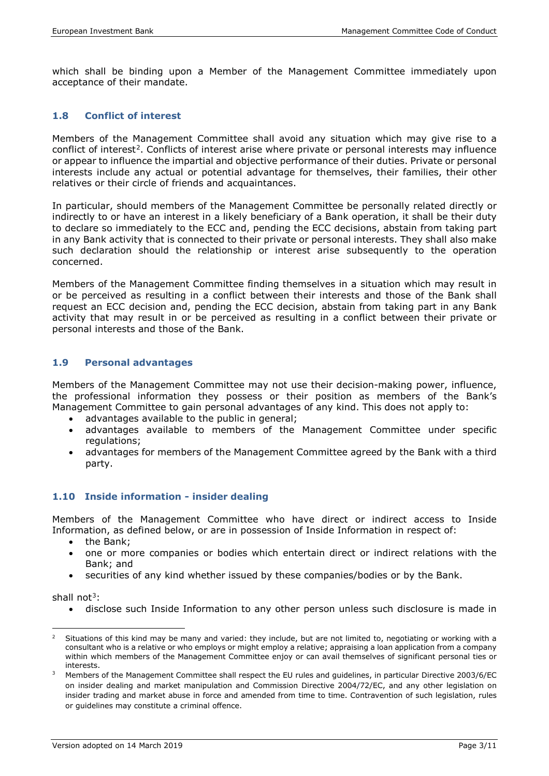which shall be binding upon a Member of the Management Committee immediately upon acceptance of their mandate.

# **1.8 Conflict of interest**

Members of the Management Committee shall avoid any situation which may give rise to a conflict of interest<sup>2</sup>. Conflicts of interest arise where private or personal interests may influence or appear to influence the impartial and objective performance of their duties. Private or personal interests include any actual or potential advantage for themselves, their families, their other relatives or their circle of friends and acquaintances.

In particular, should members of the Management Committee be personally related directly or indirectly to or have an interest in a likely beneficiary of a Bank operation, it shall be their duty to declare so immediately to the ECC and, pending the ECC decisions, abstain from taking part in any Bank activity that is connected to their private or personal interests. They shall also make such declaration should the relationship or interest arise subsequently to the operation concerned.

Members of the Management Committee finding themselves in a situation which may result in or be perceived as resulting in a conflict between their interests and those of the Bank shall request an ECC decision and, pending the ECC decision, abstain from taking part in any Bank activity that may result in or be perceived as resulting in a conflict between their private or personal interests and those of the Bank.

# **1.9 Personal advantages**

Members of the Management Committee may not use their decision-making power, influence, the professional information they possess or their position as members of the Bank's Management Committee to gain personal advantages of any kind. This does not apply to:

- advantages available to the public in general;
- advantages available to members of the Management Committee under specific regulations;
- advantages for members of the Management Committee agreed by the Bank with a third party.

# **1.10 Inside information - insider dealing**

Members of the Management Committee who have direct or indirect access to Inside Information, as defined below, or are in possession of Inside Information in respect of:

- the Bank;
- one or more companies or bodies which entertain direct or indirect relations with the Bank; and
- securities of any kind whether issued by these companies/bodies or by the Bank.

shall not<sup>[3](#page-4-1)</sup>:

• disclose such Inside Information to any other person unless such disclosure is made in

<span id="page-4-0"></span><sup>1</sup> Situations of this kind may be many and varied: they include, but are not limited to, negotiating or working with a consultant who is a relative or who employs or might employ a relative; appraising a loan application from a company within which members of the Management Committee enjoy or can avail themselves of significant personal ties or interests.

<span id="page-4-1"></span><sup>3</sup> Members of the Management Committee shall respect the EU rules and guidelines, in particular Directive 2003/6/EC on insider dealing and market manipulation and Commission Directive 2004/72/EC, and any other legislation on insider trading and market abuse in force and amended from time to time. Contravention of such legislation, rules or guidelines may constitute a criminal offence.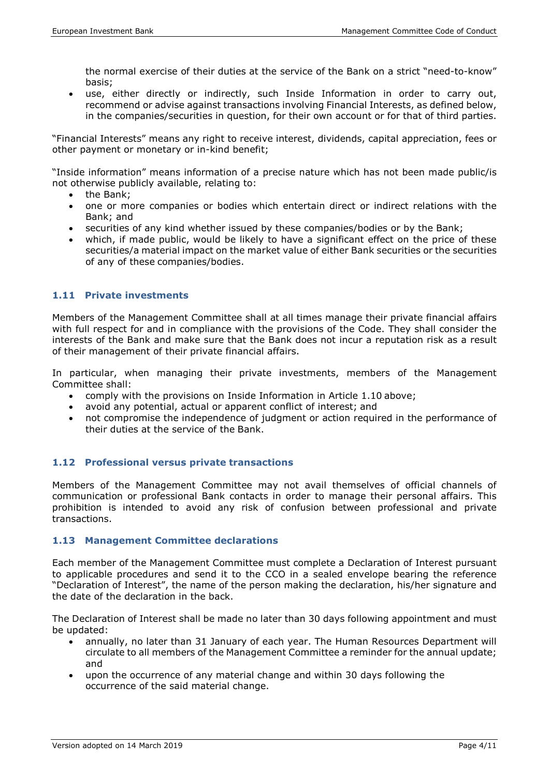the normal exercise of their duties at the service of the Bank on a strict "need-to-know" basis;

• use, either directly or indirectly, such Inside Information in order to carry out, recommend or advise against transactions involving Financial Interests, as defined below, in the companies/securities in question, for their own account or for that of third parties.

"Financial Interests" means any right to receive interest, dividends, capital appreciation, fees or other payment or monetary or in-kind benefit;

"Inside information" means information of a precise nature which has not been made public/is not otherwise publicly available, relating to:

- the Bank;
- one or more companies or bodies which entertain direct or indirect relations with the Bank; and
- securities of any kind whether issued by these companies/bodies or by the Bank;
- which, if made public, would be likely to have a significant effect on the price of these securities/a material impact on the market value of either Bank securities or the securities of any of these companies/bodies.

# **1.11 Private investments**

Members of the Management Committee shall at all times manage their private financial affairs with full respect for and in compliance with the provisions of the Code. They shall consider the interests of the Bank and make sure that the Bank does not incur a reputation risk as a result of their management of their private financial affairs.

In particular, when managing their private investments, members of the Management Committee shall:

- comply with the provisions on Inside Information in Article 1.10 above;
- avoid any potential, actual or apparent conflict of interest; and
- not compromise the independence of judgment or action required in the performance of their duties at the service of the Bank.

# **1.12 Professional versus private transactions**

Members of the Management Committee may not avail themselves of official channels of communication or professional Bank contacts in order to manage their personal affairs. This prohibition is intended to avoid any risk of confusion between professional and private transactions.

#### **1.13 Management Committee declarations**

Each member of the Management Committee must complete a Declaration of Interest pursuant to applicable procedures and send it to the CCO in a sealed envelope bearing the reference "Declaration of Interest", the name of the person making the declaration, his/her signature and the date of the declaration in the back.

The Declaration of Interest shall be made no later than 30 days following appointment and must be updated:

- annually, no later than 31 January of each year. The Human Resources Department will circulate to all members of the Management Committee a reminder for the annual update; and
- upon the occurrence of any material change and within 30 days following the occurrence of the said material change.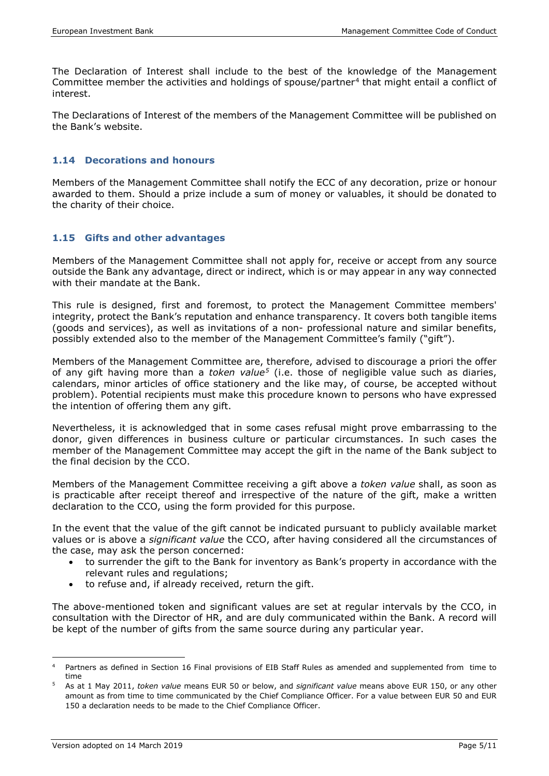The Declaration of Interest shall include to the best of the knowledge of the Management Committee member the activities and holdings of spouse/partner<sup>[4](#page-6-0)</sup> that might entail a conflict of interest.

The Declarations of Interest of the members of the Management Committee will be published on the Bank's website.

#### **1.14 Decorations and honours**

Members of the Management Committee shall notify the ECC of any decoration, prize or honour awarded to them. Should a prize include a sum of money or valuables, it should be donated to the charity of their choice.

#### **1.15 Gifts and other advantages**

Members of the Management Committee shall not apply for, receive or accept from any source outside the Bank any advantage, direct or indirect, which is or may appear in any way connected with their mandate at the Bank.

This rule is designed, first and foremost, to protect the Management Committee members' integrity, protect the Bank's reputation and enhance transparency. It covers both tangible items (goods and services), as well as invitations of a non- professional nature and similar benefits, possibly extended also to the member of the Management Committee's family ("gift").

Members of the Management Committee are, therefore, advised to discourage a priori the offer of any gift having more than a *token value[5](#page-6-1)* (i.e. those of negligible value such as diaries, calendars, minor articles of office stationery and the like may, of course, be accepted without problem). Potential recipients must make this procedure known to persons who have expressed the intention of offering them any gift.

Nevertheless, it is acknowledged that in some cases refusal might prove embarrassing to the donor, given differences in business culture or particular circumstances. In such cases the member of the Management Committee may accept the gift in the name of the Bank subject to the final decision by the CCO.

Members of the Management Committee receiving a gift above a *token value* shall, as soon as is practicable after receipt thereof and irrespective of the nature of the gift, make a written declaration to the CCO, using the form provided for this purpose.

In the event that the value of the gift cannot be indicated pursuant to publicly available market values or is above a *significant value* the CCO, after having considered all the circumstances of the case, may ask the person concerned:

- to surrender the gift to the Bank for inventory as Bank's property in accordance with the relevant rules and regulations;
- to refuse and, if already received, return the gift.

The above-mentioned token and significant values are set at regular intervals by the CCO, in consultation with the Director of HR, and are duly communicated within the Bank. A record will be kept of the number of gifts from the same source during any particular year.

<span id="page-6-0"></span> <sup>4</sup> Partners as defined in Section 16 Final provisions of EIB Staff Rules as amended and supplemented from time to time

<span id="page-6-1"></span><sup>5</sup> As at 1 May 2011, *token value* means EUR 50 or below, and *significant value* means above EUR 150, or any other amount as from time to time communicated by the Chief Compliance Officer. For a value between EUR 50 and EUR 150 a declaration needs to be made to the Chief Compliance Officer.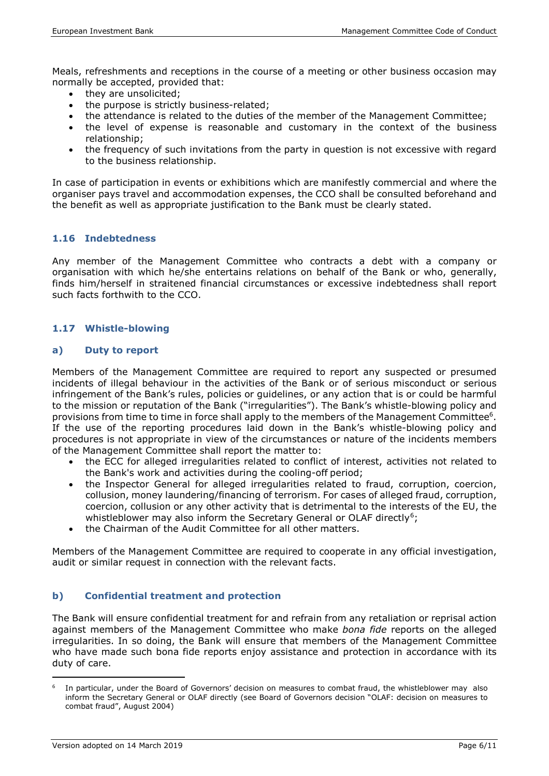Meals, refreshments and receptions in the course of a meeting or other business occasion may normally be accepted, provided that:

- they are unsolicited;
- the purpose is strictly business-related;
- the attendance is related to the duties of the member of the Management Committee;
- the level of expense is reasonable and customary in the context of the business relationship;
- the frequency of such invitations from the party in question is not excessive with regard to the business relationship.

In case of participation in events or exhibitions which are manifestly commercial and where the organiser pays travel and accommodation expenses, the CCO shall be consulted beforehand and the benefit as well as appropriate justification to the Bank must be clearly stated.

#### **1.16 Indebtedness**

Any member of the Management Committee who contracts a debt with a company or organisation with which he/she entertains relations on behalf of the Bank or who, generally, finds him/herself in straitened financial circumstances or excessive indebtedness shall report such facts forthwith to the CCO.

#### **1.17 Whistle-blowing**

#### **a) Duty to report**

Members of the Management Committee are required to report any suspected or presumed incidents of illegal behaviour in the activities of the Bank or of serious misconduct or serious infringement of the Bank's rules, policies or guidelines, or any action that is or could be harmful to the mission or reputation of the Bank ("irregularities"). The Bank's whistle-blowing policy and provisions from time to time in force shall apply to the members of the Management Committee<sup>6</sup>. If the use of the reporting procedures laid down in the Bank's whistle-blowing policy and procedures is not appropriate in view of the circumstances or nature of the incidents members of the Management Committee shall report the matter to:

- the ECC for alleged irregularities related to conflict of interest, activities not related to the Bank's work and activities during the cooling-off period;
- the Inspector General for alleged irregularities related to fraud, corruption, coercion, collusion, money laundering/financing of terrorism. For cases of alleged fraud, corruption, coercion, collusion or any other activity that is detrimental to the interests of the EU, the whistleblower may also inform the Secretary General or OLAF directly<sup>6</sup>;
- the Chairman of the Audit Committee for all other matters.

Members of the Management Committee are required to cooperate in any official investigation, audit or similar request in connection with the relevant facts.

# **b) Confidential treatment and protection**

The Bank will ensure confidential treatment for and refrain from any retaliation or reprisal action against members of the Management Committee who make *bona fide* reports on the alleged irregularities. In so doing, the Bank will ensure that members of the Management Committee who have made such bona fide reports enjoy assistance and protection in accordance with its duty of care.

l

<span id="page-7-0"></span><sup>6</sup> In particular, under the Board of Governors' decision on measures to combat fraud, the whistleblower may also inform the Secretary General or OLAF directly (see Board of Governors decision "OLAF: decision on measures to combat fraud", August 2004)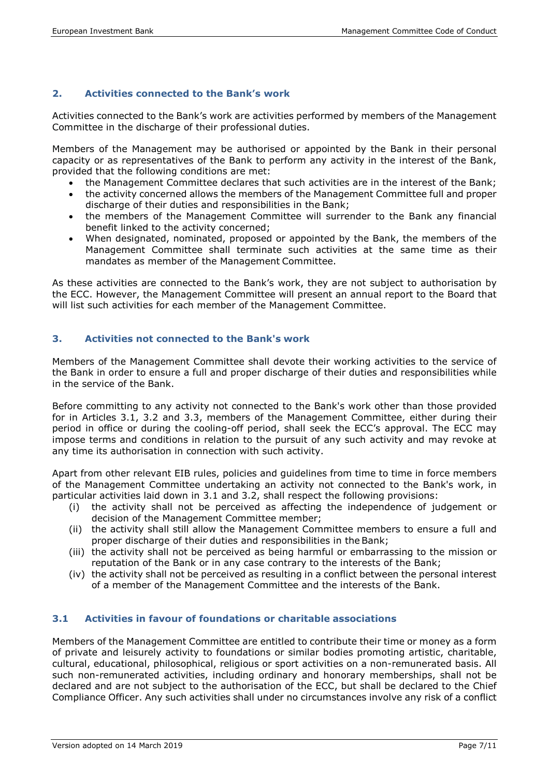# **2. Activities connected to the Bank's work**

Activities connected to the Bank's work are activities performed by members of the Management Committee in the discharge of their professional duties.

Members of the Management may be authorised or appointed by the Bank in their personal capacity or as representatives of the Bank to perform any activity in the interest of the Bank, provided that the following conditions are met:

- the Management Committee declares that such activities are in the interest of the Bank;
- the activity concerned allows the members of the Management Committee full and proper discharge of their duties and responsibilities in the Bank;
- the members of the Management Committee will surrender to the Bank any financial benefit linked to the activity concerned;
- When designated, nominated, proposed or appointed by the Bank, the members of the Management Committee shall terminate such activities at the same time as their mandates as member of the Management Committee.

As these activities are connected to the Bank's work, they are not subject to authorisation by the ECC. However, the Management Committee will present an annual report to the Board that will list such activities for each member of the Management Committee.

# **3. Activities not connected to the Bank's work**

Members of the Management Committee shall devote their working activities to the service of the Bank in order to ensure a full and proper discharge of their duties and responsibilities while in the service of the Bank.

Before committing to any activity not connected to the Bank's work other than those provided for in Articles 3.1, 3.2 and 3.3, members of the Management Committee, either during their period in office or during the cooling-off period, shall seek the ECC's approval. The ECC may impose terms and conditions in relation to the pursuit of any such activity and may revoke at any time its authorisation in connection with such activity.

Apart from other relevant EIB rules, policies and guidelines from time to time in force members of the Management Committee undertaking an activity not connected to the Bank's work, in particular activities laid down in 3.1 and 3.2, shall respect the following provisions:

- (i) the activity shall not be perceived as affecting the independence of judgement or decision of the Management Committee member;
- (ii) the activity shall still allow the Management Committee members to ensure a full and proper discharge of their duties and responsibilities in the Bank;
- (iii) the activity shall not be perceived as being harmful or embarrassing to the mission or reputation of the Bank or in any case contrary to the interests of the Bank;
- (iv) the activity shall not be perceived as resulting in a conflict between the personal interest of a member of the Management Committee and the interests of the Bank.

# **3.1 Activities in favour of foundations or charitable associations**

Members of the Management Committee are entitled to contribute their time or money as a form of private and leisurely activity to foundations or similar bodies promoting artistic, charitable, cultural, educational, philosophical, religious or sport activities on a non-remunerated basis. All such non-remunerated activities, including ordinary and honorary memberships, shall not be declared and are not subject to the authorisation of the ECC, but shall be declared to the Chief Compliance Officer. Any such activities shall under no circumstances involve any risk of a conflict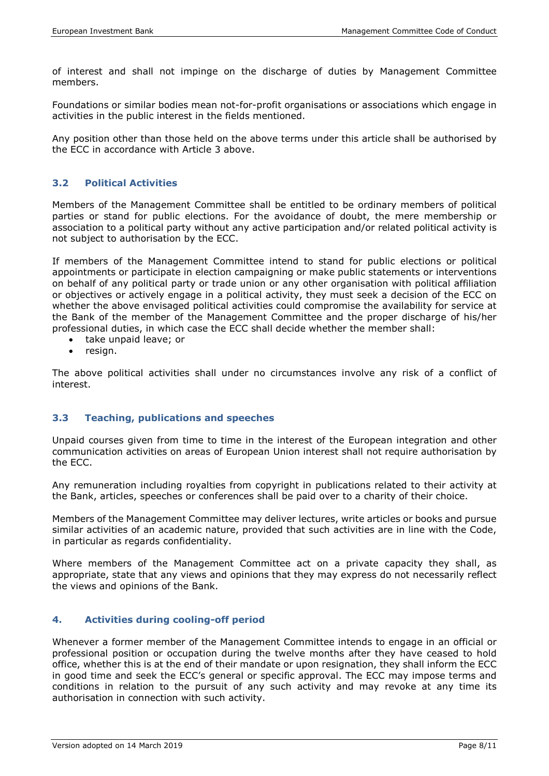of interest and shall not impinge on the discharge of duties by Management Committee members.

Foundations or similar bodies mean not-for-profit organisations or associations which engage in activities in the public interest in the fields mentioned.

Any position other than those held on the above terms under this article shall be authorised by the ECC in accordance with Article 3 above.

#### **3.2 Political Activities**

Members of the Management Committee shall be entitled to be ordinary members of political parties or stand for public elections. For the avoidance of doubt, the mere membership or association to a political party without any active participation and/or related political activity is not subject to authorisation by the ECC.

If members of the Management Committee intend to stand for public elections or political appointments or participate in election campaigning or make public statements or interventions on behalf of any political party or trade union or any other organisation with political affiliation or objectives or actively engage in a political activity, they must seek a decision of the ECC on whether the above envisaged political activities could compromise the availability for service at the Bank of the member of the Management Committee and the proper discharge of his/her professional duties, in which case the ECC shall decide whether the member shall:

- take unpaid leave; or
- resign.

The above political activities shall under no circumstances involve any risk of a conflict of interest.

#### **3.3 Teaching, publications and speeches**

Unpaid courses given from time to time in the interest of the European integration and other communication activities on areas of European Union interest shall not require authorisation by the ECC.

Any remuneration including royalties from copyright in publications related to their activity at the Bank, articles, speeches or conferences shall be paid over to a charity of their choice.

Members of the Management Committee may deliver lectures, write articles or books and pursue similar activities of an academic nature, provided that such activities are in line with the Code, in particular as regards confidentiality.

Where members of the Management Committee act on a private capacity they shall, as appropriate, state that any views and opinions that they may express do not necessarily reflect the views and opinions of the Bank.

#### **4. Activities during cooling-off period**

Whenever a former member of the Management Committee intends to engage in an official or professional position or occupation during the twelve months after they have ceased to hold office, whether this is at the end of their mandate or upon resignation, they shall inform the ECC in good time and seek the ECC's general or specific approval. The ECC may impose terms and conditions in relation to the pursuit of any such activity and may revoke at any time its authorisation in connection with such activity.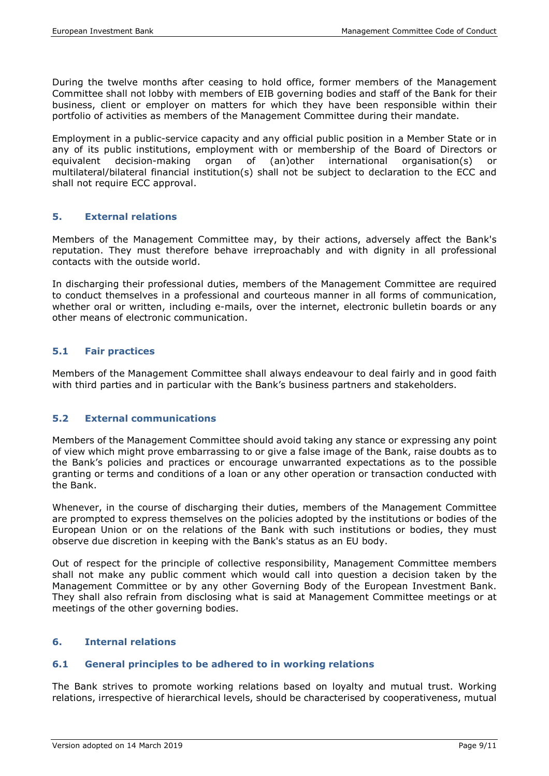During the twelve months after ceasing to hold office, former members of the Management Committee shall not lobby with members of EIB governing bodies and staff of the Bank for their business, client or employer on matters for which they have been responsible within their portfolio of activities as members of the Management Committee during their mandate.

Employment in a public-service capacity and any official public position in a Member State or in any of its public institutions, employment with or membership of the Board of Directors or equivalent decision-making organ of (an)other international organisation(s) or equivalent decision-making organ of (an)other international organisation(s) or multilateral/bilateral financial institution(s) shall not be subject to declaration to the ECC and shall not require ECC approval.

# **5. External relations**

Members of the Management Committee may, by their actions, adversely affect the Bank's reputation. They must therefore behave irreproachably and with dignity in all professional contacts with the outside world.

In discharging their professional duties, members of the Management Committee are required to conduct themselves in a professional and courteous manner in all forms of communication, whether oral or written, including e-mails, over the internet, electronic bulletin boards or any other means of electronic communication.

# **5.1 Fair practices**

Members of the Management Committee shall always endeavour to deal fairly and in good faith with third parties and in particular with the Bank's business partners and stakeholders.

# **5.2 External communications**

Members of the Management Committee should avoid taking any stance or expressing any point of view which might prove embarrassing to or give a false image of the Bank, raise doubts as to the Bank's policies and practices or encourage unwarranted expectations as to the possible granting or terms and conditions of a loan or any other operation or transaction conducted with the Bank.

Whenever, in the course of discharging their duties, members of the Management Committee are prompted to express themselves on the policies adopted by the institutions or bodies of the European Union or on the relations of the Bank with such institutions or bodies, they must observe due discretion in keeping with the Bank's status as an EU body.

Out of respect for the principle of collective responsibility, Management Committee members shall not make any public comment which would call into question a decision taken by the Management Committee or by any other Governing Body of the European Investment Bank. They shall also refrain from disclosing what is said at Management Committee meetings or at meetings of the other governing bodies.

#### **6. Internal relations**

#### **6.1 General principles to be adhered to in working relations**

The Bank strives to promote working relations based on loyalty and mutual trust. Working relations, irrespective of hierarchical levels, should be characterised by cooperativeness, mutual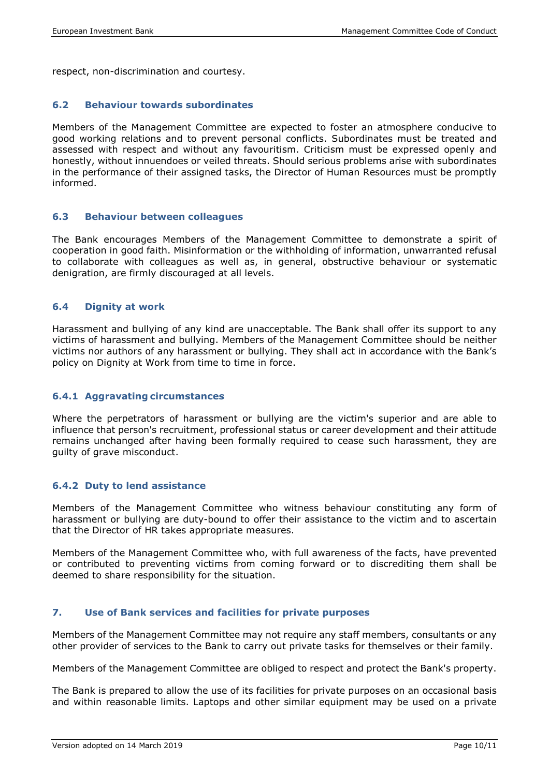respect, non-discrimination and courtesy.

#### **6.2 Behaviour towards subordinates**

Members of the Management Committee are expected to foster an atmosphere conducive to good working relations and to prevent personal conflicts. Subordinates must be treated and assessed with respect and without any favouritism. Criticism must be expressed openly and honestly, without innuendoes or veiled threats. Should serious problems arise with subordinates in the performance of their assigned tasks, the Director of Human Resources must be promptly informed.

#### **6.3 Behaviour between colleagues**

The Bank encourages Members of the Management Committee to demonstrate a spirit of cooperation in good faith. Misinformation or the withholding of information, unwarranted refusal to collaborate with colleagues as well as, in general, obstructive behaviour or systematic denigration, are firmly discouraged at all levels.

# **6.4 Dignity at work**

Harassment and bullying of any kind are unacceptable. The Bank shall offer its support to any victims of harassment and bullying. Members of the Management Committee should be neither victims nor authors of any harassment or bullying. They shall act in accordance with the Bank's policy on Dignity at Work from time to time in force.

#### **6.4.1 Aggravating circumstances**

Where the perpetrators of harassment or bullying are the victim's superior and are able to influence that person's recruitment, professional status or career development and their attitude remains unchanged after having been formally required to cease such harassment, they are guilty of grave misconduct.

#### **6.4.2 Duty to lend assistance**

Members of the Management Committee who witness behaviour constituting any form of harassment or bullying are duty-bound to offer their assistance to the victim and to ascertain that the Director of HR takes appropriate measures.

Members of the Management Committee who, with full awareness of the facts, have prevented or contributed to preventing victims from coming forward or to discrediting them shall be deemed to share responsibility for the situation.

#### **7. Use of Bank services and facilities for private purposes**

Members of the Management Committee may not require any staff members, consultants or any other provider of services to the Bank to carry out private tasks for themselves or their family.

Members of the Management Committee are obliged to respect and protect the Bank's property.

The Bank is prepared to allow the use of its facilities for private purposes on an occasional basis and within reasonable limits. Laptops and other similar equipment may be used on a private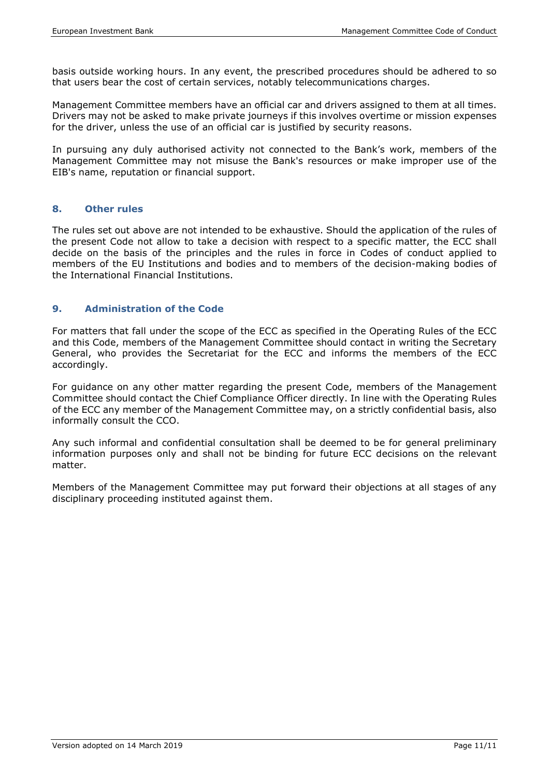basis outside working hours. In any event, the prescribed procedures should be adhered to so that users bear the cost of certain services, notably telecommunications charges.

Management Committee members have an official car and drivers assigned to them at all times. Drivers may not be asked to make private journeys if this involves overtime or mission expenses for the driver, unless the use of an official car is justified by security reasons.

In pursuing any duly authorised activity not connected to the Bank's work, members of the Management Committee may not misuse the Bank's resources or make improper use of the EIB's name, reputation or financial support.

#### **8. Other rules**

The rules set out above are not intended to be exhaustive. Should the application of the rules of the present Code not allow to take a decision with respect to a specific matter, the ECC shall decide on the basis of the principles and the rules in force in Codes of conduct applied to members of the EU Institutions and bodies and to members of the decision-making bodies of the International Financial Institutions.

#### **9. Administration of the Code**

For matters that fall under the scope of the ECC as specified in the Operating Rules of the ECC and this Code, members of the Management Committee should contact in writing the Secretary General, who provides the Secretariat for the ECC and informs the members of the ECC accordingly.

For guidance on any other matter regarding the present Code, members of the Management Committee should contact the Chief Compliance Officer directly. In line with the Operating Rules of the ECC any member of the Management Committee may, on a strictly confidential basis, also informally consult the CCO.

Any such informal and confidential consultation shall be deemed to be for general preliminary information purposes only and shall not be binding for future ECC decisions on the relevant matter.

Members of the Management Committee may put forward their objections at all stages of any disciplinary proceeding instituted against them.